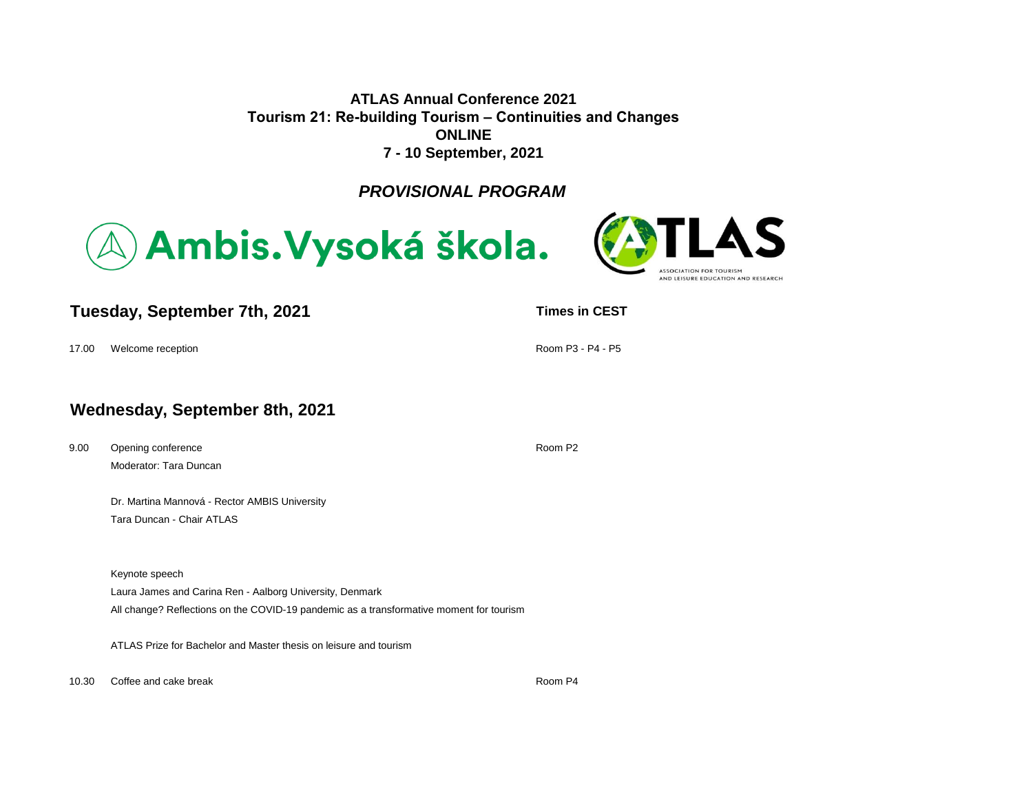**ATLAS Annual Conference 2021 Tourism 21: Re-building Tourism – Continuities and Changes ONLINE 7 - 10 September, 2021**

*PROVISIONAL PROGRAM*





# **Tuesday, September 7th, 2021 TUES TENS TENS TENS TIMES TENS TENS TENS TENS TENS TENS TENS TENS TENS TENS TENS TENS TENS TENS TENS TENS TENS TENS TENS TENS TENS TENS**

17.00 Welcome reception **Room P3 - P4 - P5**  $\blacksquare$ 

# **Wednesday, September 8th, 2021**

9.00 Opening conference **Conference Conference Conference Room P2** Moderator: Tara Duncan

Dr. Martina Mannová - Rector AMBIS University Tara Duncan - Chair ATLAS

Keynote speech

Laura James and Carina Ren - Aalborg University, Denmark

All change? Reflections on the COVID-19 pandemic as a transformative moment for tourism

ATLAS Prize for Bachelor and Master thesis on leisure and tourism

10.30 Coffee and cake break Room P4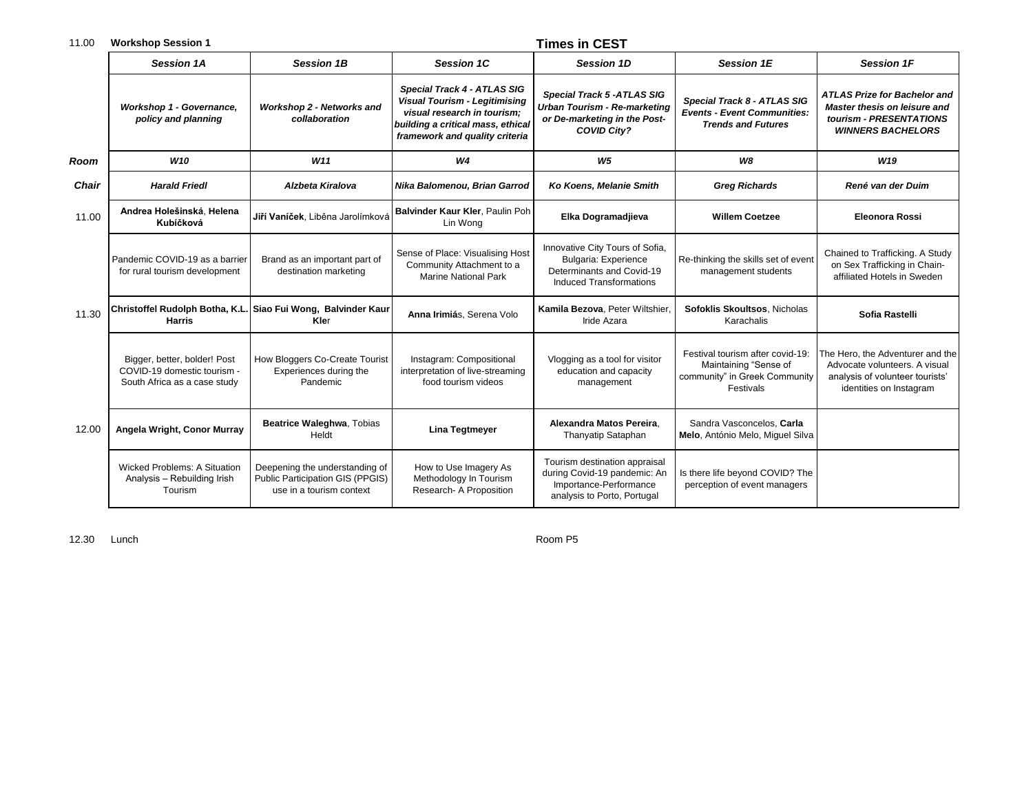| 11.00        | <b>Workshop Session 1</b>                                                                   |                                                                                                |                                                                                                                                                                           | <b>Times in CEST</b>                                                                                                           |                                                                                                         |                                                                                                                                   |
|--------------|---------------------------------------------------------------------------------------------|------------------------------------------------------------------------------------------------|---------------------------------------------------------------------------------------------------------------------------------------------------------------------------|--------------------------------------------------------------------------------------------------------------------------------|---------------------------------------------------------------------------------------------------------|-----------------------------------------------------------------------------------------------------------------------------------|
|              | <b>Session 1A</b>                                                                           | <b>Session 1B</b>                                                                              | <b>Session 1C</b>                                                                                                                                                         | <b>Session 1D</b>                                                                                                              | <b>Session 1E</b>                                                                                       | <b>Session 1F</b>                                                                                                                 |
|              | Workshop 1 - Governance,<br>policy and planning                                             | <b>Workshop 2 - Networks and</b><br>collaboration                                              | Special Track 4 - ATLAS SIG<br><b>Visual Tourism - Legitimising</b><br>visual research in tourism;<br>building a critical mass, ethical<br>framework and quality criteria | <b>Special Track 5 -ATLAS SIG</b><br><b>Urban Tourism - Re-marketing</b><br>or De-marketing in the Post-<br><b>COVID City?</b> | Special Track 8 - ATLAS SIG<br><b>Events - Event Communities:</b><br><b>Trends and Futures</b>          | <b>ATLAS Prize for Bachelor and</b><br><b>Master thesis on leisure and</b><br>tourism - PRESENTATIONS<br><b>WINNERS BACHELORS</b> |
| Room         | <b>W10</b>                                                                                  | W11                                                                                            | W <sub>4</sub>                                                                                                                                                            | W <sub>5</sub>                                                                                                                 | W8                                                                                                      | W <sub>19</sub>                                                                                                                   |
| <b>Chair</b> | <b>Harald Friedl</b>                                                                        | <b>Alzbeta Kiralova</b>                                                                        | Nika Balomenou, Brian Garrod                                                                                                                                              | Ko Koens, Melanie Smith                                                                                                        | <b>Greg Richards</b>                                                                                    | René van der Duim                                                                                                                 |
| 11.00        | Andrea Holešinská, Helena<br>Kubíčková                                                      | Jiří Vaníček, Liběna Jarolímková                                                               | Balvinder Kaur Kler, Paulin Poh<br>Lin Wong                                                                                                                               | Elka Dogramadjieva                                                                                                             | <b>Willem Coetzee</b>                                                                                   | <b>Eleonora Rossi</b>                                                                                                             |
|              | Pandemic COVID-19 as a barrier<br>for rural tourism development                             | Brand as an important part of<br>destination marketing                                         | Sense of Place: Visualising Host<br>Community Attachment to a<br><b>Marine National Park</b>                                                                              | Innovative City Tours of Sofia,<br><b>Bulgaria: Experience</b><br>Determinants and Covid-19<br><b>Induced Transformations</b>  | Re-thinking the skills set of event<br>management students                                              | Chained to Trafficking. A Study<br>on Sex Trafficking in Chain-<br>affiliated Hotels in Sweden                                    |
| 11.30        | <b>Harris</b>                                                                               | Christoffel Rudolph Botha, K.L. Siao Fui Wong, Balvinder Kaur<br>Kler                          | Anna Irimiás, Serena Volo                                                                                                                                                 | Kamila Bezova, Peter Wiltshier,<br>Iride Azara                                                                                 | Sofoklis Skoultsos, Nicholas<br>Karachalis                                                              | Sofia Rastelli                                                                                                                    |
|              | Bigger, better, bolder! Post<br>COVID-19 domestic tourism -<br>South Africa as a case study | How Bloggers Co-Create Tourist<br>Experiences during the<br>Pandemic                           | Instagram: Compositional<br>interpretation of live-streaming<br>food tourism videos                                                                                       | Vlogging as a tool for visitor<br>education and capacity<br>management                                                         | Festival tourism after covid-19:<br>Maintaining "Sense of<br>community" in Greek Community<br>Festivals | The Hero, the Adventurer and the<br>Advocate volunteers. A visual<br>analysis of volunteer tourists'<br>identities on Instagram   |
| 12.00        | Angela Wright, Conor Murray                                                                 | Beatrice Waleghwa, Tobias<br>Heldt                                                             | <b>Lina Tegtmeyer</b>                                                                                                                                                     | Alexandra Matos Pereira.<br>Thanyatip Sataphan                                                                                 | Sandra Vasconcelos. Carla<br>Melo, António Melo, Miguel Silva                                           |                                                                                                                                   |
|              | <b>Wicked Problems: A Situation</b><br>Analysis - Rebuilding Irish<br>Tourism               | Deepening the understanding of<br>Public Participation GIS (PPGIS)<br>use in a tourism context | How to Use Imagery As<br>Methodology In Tourism<br>Research- A Proposition                                                                                                | Tourism destination appraisal<br>during Covid-19 pandemic: An<br>Importance-Performance<br>analysis to Porto, Portugal         | Is there life beyond COVID? The<br>perception of event managers                                         |                                                                                                                                   |

12.30 Lunch Room P5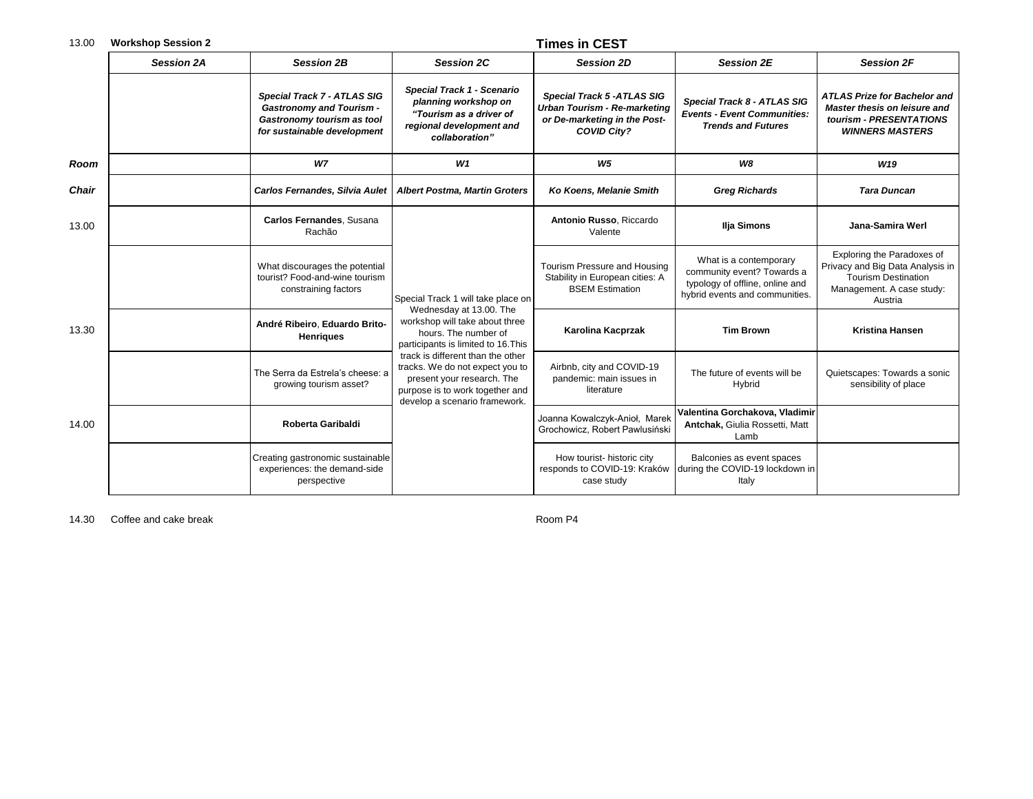| 13.00        | <b>Workshop Session 2</b> |                                                                                                                             |                                                                                                                                                                                                                                                                                                    | <b>Times in CEST</b>                                                                                                           |                                                                                                                           |                                                                                                                                      |  |
|--------------|---------------------------|-----------------------------------------------------------------------------------------------------------------------------|----------------------------------------------------------------------------------------------------------------------------------------------------------------------------------------------------------------------------------------------------------------------------------------------------|--------------------------------------------------------------------------------------------------------------------------------|---------------------------------------------------------------------------------------------------------------------------|--------------------------------------------------------------------------------------------------------------------------------------|--|
|              | <b>Session 2A</b>         | <b>Session 2B</b>                                                                                                           | <b>Session 2C</b>                                                                                                                                                                                                                                                                                  | <b>Session 2D</b>                                                                                                              | <b>Session 2E</b>                                                                                                         | <b>Session 2F</b>                                                                                                                    |  |
|              |                           | Special Track 7 - ATLAS SIG<br><b>Gastronomy and Tourism -</b><br>Gastronomy tourism as tool<br>for sustainable development | Special Track 1 - Scenario<br>planning workshop on<br>"Tourism as a driver of<br>regional development and<br>collaboration"                                                                                                                                                                        | <b>Special Track 5 -ATLAS SIG</b><br><b>Urban Tourism - Re-marketing</b><br>or De-marketing in the Post-<br><b>COVID City?</b> | Special Track 8 - ATLAS SIG<br><b>Events - Event Communities:</b><br><b>Trends and Futures</b>                            | <b>ATLAS Prize for Bachelor and</b><br>Master thesis on leisure and<br>tourism - PRESENTATIONS<br><b>WINNERS MASTERS</b>             |  |
| Room         |                           | <b>W7</b>                                                                                                                   | W1                                                                                                                                                                                                                                                                                                 | W <sub>5</sub>                                                                                                                 | W8                                                                                                                        | W <sub>19</sub>                                                                                                                      |  |
| <b>Chair</b> |                           | Carlos Fernandes, Silvia Aulet                                                                                              | <b>Albert Postma, Martin Groters</b>                                                                                                                                                                                                                                                               | Ko Koens, Melanie Smith                                                                                                        | <b>Greg Richards</b>                                                                                                      | <b>Tara Duncan</b>                                                                                                                   |  |
| 13.00        |                           | Carlos Fernandes, Susana<br>Rachão                                                                                          |                                                                                                                                                                                                                                                                                                    | Antonio Russo, Riccardo<br>Valente                                                                                             | Ilja Simons                                                                                                               | Jana-Samira Werl                                                                                                                     |  |
|              |                           | What discourages the potential<br>tourist? Food-and-wine tourism<br>constraining factors                                    | Special Track 1 will take place on                                                                                                                                                                                                                                                                 | Tourism Pressure and Housing<br>Stability in European cities: A<br><b>BSEM Estimation</b>                                      | What is a contemporary<br>community event? Towards a<br>typology of offline, online and<br>hybrid events and communities. | Exploring the Paradoxes of<br>Privacy and Big Data Analysis in<br><b>Tourism Destination</b><br>Management. A case study:<br>Austria |  |
| 13.30        |                           | André Ribeiro, Eduardo Brito-<br><b>Henriques</b>                                                                           | Wednesday at 13.00. The<br>workshop will take about three<br>hours. The number of<br>participants is limited to 16. This<br>track is different than the other<br>tracks. We do not expect you to<br>present your research. The<br>purpose is to work together and<br>develop a scenario framework. | Karolina Kacprzak                                                                                                              | <b>Tim Brown</b>                                                                                                          | <b>Kristina Hansen</b>                                                                                                               |  |
|              |                           | The Serra da Estrela's cheese: a<br>growing tourism asset?                                                                  |                                                                                                                                                                                                                                                                                                    | Airbnb, city and COVID-19<br>pandemic: main issues in<br>literature                                                            | The future of events will be<br>Hybrid                                                                                    | Quietscapes: Towards a sonic<br>sensibility of place                                                                                 |  |
| 14.00        |                           | Roberta Garibaldi                                                                                                           |                                                                                                                                                                                                                                                                                                    | Joanna Kowalczyk-Anioł, Marek<br>Grochowicz, Robert Pawlusiński                                                                | Valentina Gorchakova, Vladimir<br>Antchak, Giulia Rossetti, Matt<br>Lamb                                                  |                                                                                                                                      |  |
|              |                           | Creating gastronomic sustainable<br>experiences: the demand-side<br>perspective                                             |                                                                                                                                                                                                                                                                                                    | How tourist- historic city<br>responds to COVID-19: Kraków<br>case study                                                       | Balconies as event spaces<br>during the COVID-19 lockdown in<br>Italy                                                     |                                                                                                                                      |  |

14.30 Coffee and cake break Room P4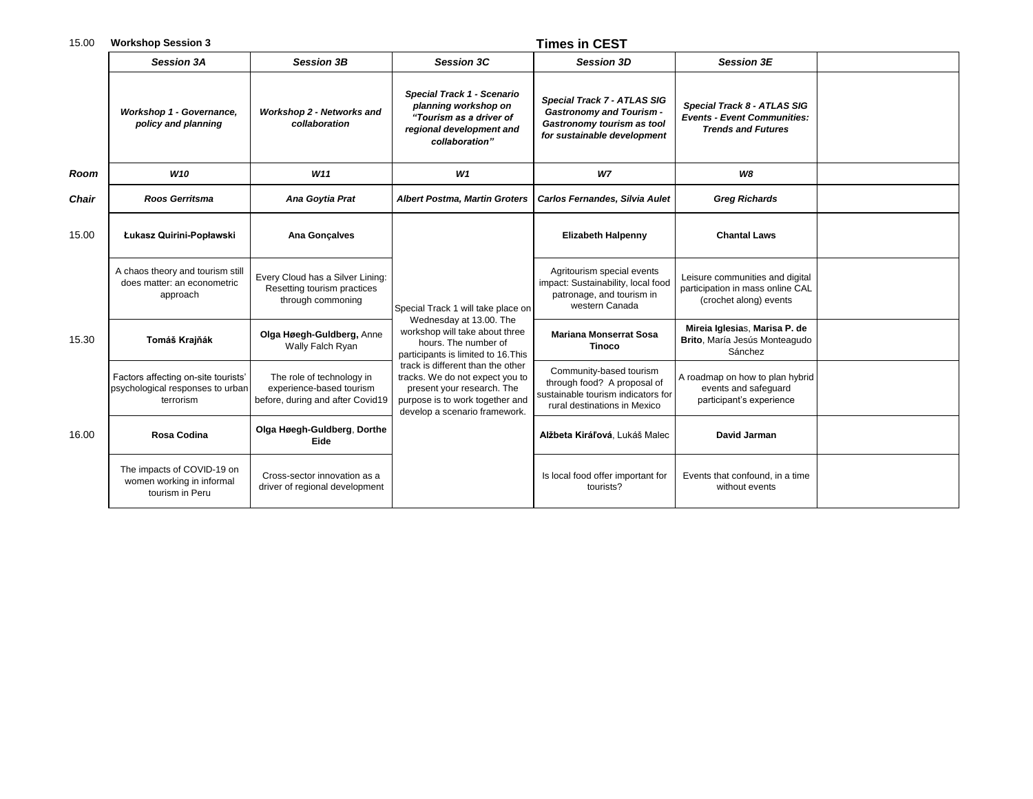## 15.00 **Workshop Session 3 Times in CEST**

|              | <b>Session 3A</b>                                                                    | <b>Session 3B</b>                                                                         | <b>Session 3C</b>                                                                                                                                                                                                                                                                                                                        | <b>Session 3D</b>                                                                                                            | <b>Session 3E</b>                                                                              |  |
|--------------|--------------------------------------------------------------------------------------|-------------------------------------------------------------------------------------------|------------------------------------------------------------------------------------------------------------------------------------------------------------------------------------------------------------------------------------------------------------------------------------------------------------------------------------------|------------------------------------------------------------------------------------------------------------------------------|------------------------------------------------------------------------------------------------|--|
|              | Workshop 1 - Governance,<br>policy and planning                                      | Workshop 2 - Networks and<br>collaboration                                                | Special Track 1 - Scenario<br>planning workshop on<br>"Tourism as a driver of<br>regional development and<br>collaboration"                                                                                                                                                                                                              | Special Track 7 - ATLAS SIG<br><b>Gastronomy and Tourism -</b><br>Gastronomy tourism as tool<br>for sustainable development  | Special Track 8 - ATLAS SIG<br><b>Events - Event Communities:</b><br><b>Trends and Futures</b> |  |
| Room         | W <sub>10</sub>                                                                      | W11                                                                                       | W1                                                                                                                                                                                                                                                                                                                                       | W7                                                                                                                           | <b>W8</b>                                                                                      |  |
| <b>Chair</b> | <b>Roos Gerritsma</b>                                                                | Ana Goytia Prat                                                                           | <b>Albert Postma, Martin Groters</b>                                                                                                                                                                                                                                                                                                     | Carlos Fernandes, Silvia Aulet                                                                                               | <b>Greg Richards</b>                                                                           |  |
| 15.00        | Łukasz Quirini-Popławski                                                             | Ana Gonçalves                                                                             |                                                                                                                                                                                                                                                                                                                                          | <b>Elizabeth Halpenny</b>                                                                                                    | <b>Chantal Laws</b>                                                                            |  |
|              | A chaos theory and tourism still<br>does matter: an econometric<br>approach          | Every Cloud has a Silver Lining:<br>Resetting tourism practices<br>through commoning      | Special Track 1 will take place on<br>Wednesday at 13.00. The<br>workshop will take about three<br>hours. The number of<br>participants is limited to 16. This<br>track is different than the other<br>tracks. We do not expect you to<br>present your research. The<br>purpose is to work together and<br>develop a scenario framework. | Agritourism special events<br>impact: Sustainability, local food<br>patronage, and tourism in<br>western Canada              | Leisure communities and digital<br>participation in mass online CAL<br>(crochet along) events  |  |
| 15.30        | Tomáš Krajňák                                                                        | Olga Høegh-Guldberg, Anne<br>Wally Falch Ryan                                             |                                                                                                                                                                                                                                                                                                                                          | <b>Mariana Monserrat Sosa</b><br><b>Tinoco</b>                                                                               | Mireia Iglesias, Marisa P. de<br>Brito, María Jesús Monteagudo<br>Sánchez                      |  |
|              | Factors affecting on-site tourists'<br>psychological responses to urban<br>terrorism | The role of technology in<br>experience-based tourism<br>before, during and after Covid19 |                                                                                                                                                                                                                                                                                                                                          | Community-based tourism<br>through food? A proposal of<br>sustainable tourism indicators for<br>rural destinations in Mexico | A roadmap on how to plan hybrid<br>events and safequard<br>participant's experience            |  |
| 16.00        | Rosa Codina                                                                          | Olga Høegh-Guldberg, Dorthe<br>Eide                                                       |                                                                                                                                                                                                                                                                                                                                          | Alžbeta Kiráľová, Lukáš Malec                                                                                                | <b>David Jarman</b>                                                                            |  |
|              | The impacts of COVID-19 on<br>women working in informal<br>tourism in Peru           | Cross-sector innovation as a<br>driver of regional development                            |                                                                                                                                                                                                                                                                                                                                          | Is local food offer important for<br>tourists?                                                                               | Events that confound, in a time<br>without events                                              |  |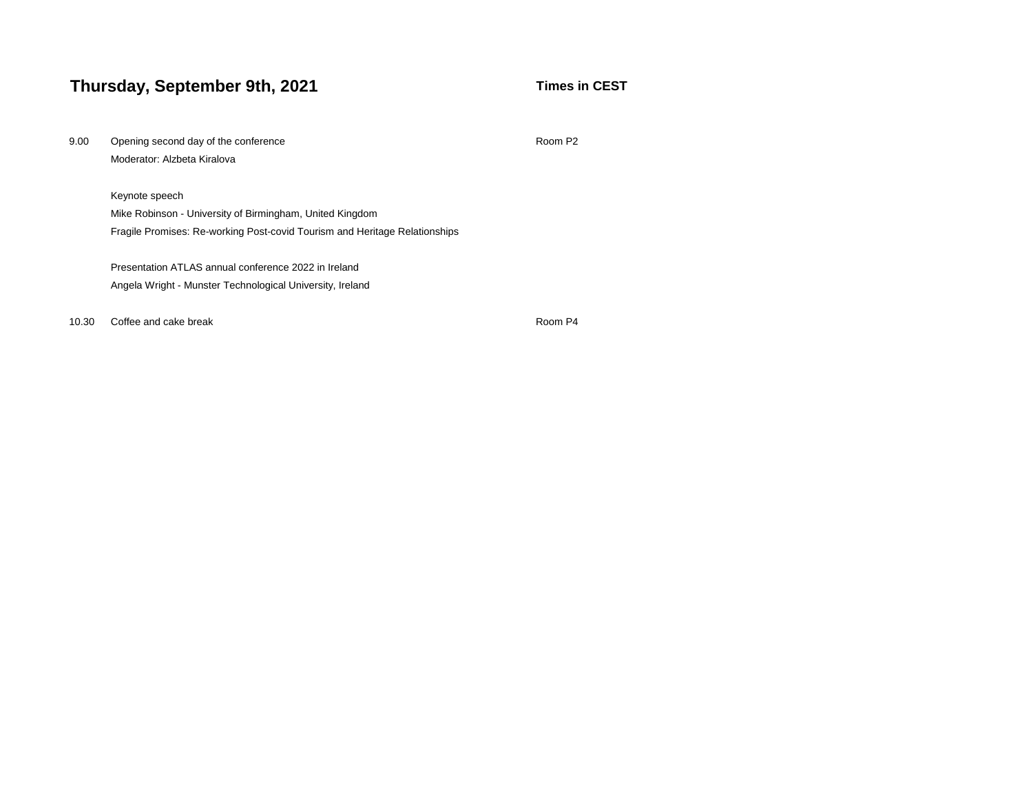# **Thursday, September 9th, 2021 Thursday, September 9th, 2021**

| 9.00  | Opening second day of the conference<br>Room P <sub>2</sub>                |         |  |  |  |  |
|-------|----------------------------------------------------------------------------|---------|--|--|--|--|
|       | Moderator: Alzbeta Kiralova                                                |         |  |  |  |  |
|       | Keynote speech                                                             |         |  |  |  |  |
|       | Mike Robinson - University of Birmingham, United Kingdom                   |         |  |  |  |  |
|       | Fragile Promises: Re-working Post-covid Tourism and Heritage Relationships |         |  |  |  |  |
|       | Presentation ATLAS annual conference 2022 in Ireland                       |         |  |  |  |  |
|       | Angela Wright - Munster Technological University, Ireland                  |         |  |  |  |  |
| 10.30 | Coffee and cake break                                                      | Room P4 |  |  |  |  |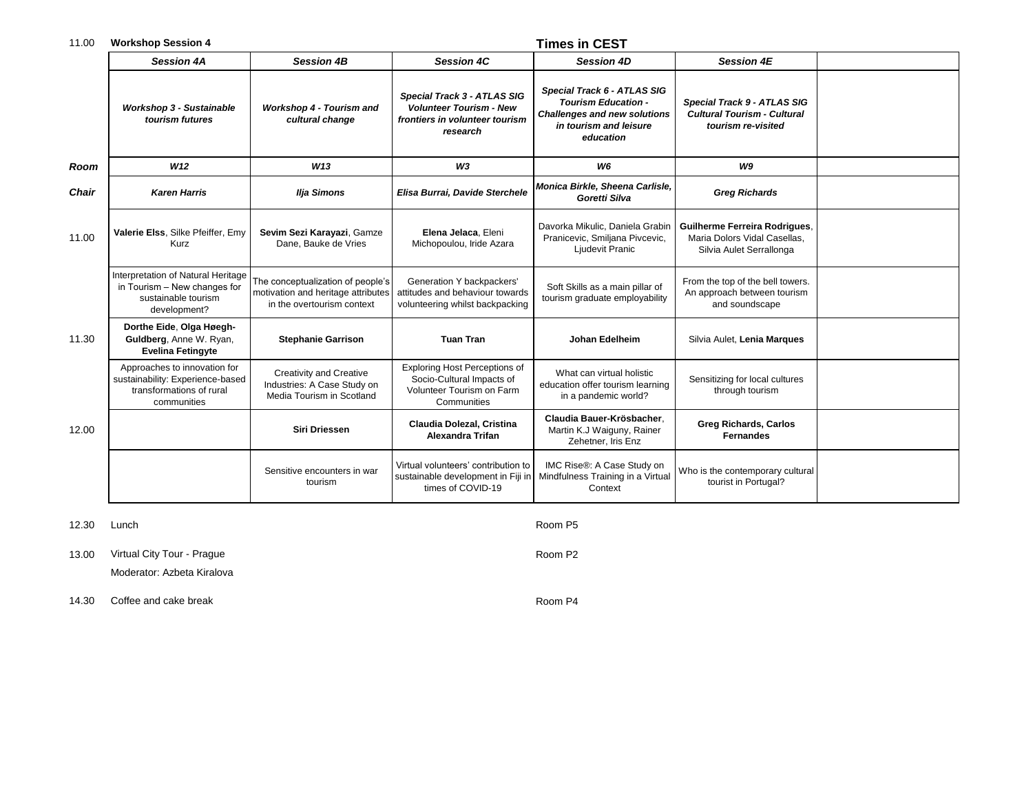## 11.00 **Workshop Session 4 Times in CEST**

|              | <b>Session 4A</b>                                                                                           | <b>Session 4B</b>                                                                                     | <b>Session 4C</b>                                                                                           | <b>Session 4D</b>                                                                                                                       | <b>Session 4E</b>                                                                                |  |
|--------------|-------------------------------------------------------------------------------------------------------------|-------------------------------------------------------------------------------------------------------|-------------------------------------------------------------------------------------------------------------|-----------------------------------------------------------------------------------------------------------------------------------------|--------------------------------------------------------------------------------------------------|--|
|              | <b>Workshop 3 - Sustainable</b><br>tourism futures                                                          | Workshop 4 - Tourism and<br>cultural change                                                           | Special Track 3 - ATLAS SIG<br><b>Volunteer Tourism - New</b><br>frontiers in volunteer tourism<br>research | Special Track 6 - ATLAS SIG<br><b>Tourism Education -</b><br><b>Challenges and new solutions</b><br>in tourism and leisure<br>education | Special Track 9 - ATLAS SIG<br><b>Cultural Tourism - Cultural</b><br>tourism re-visited          |  |
| Room         | W <sub>12</sub>                                                                                             | W <sub>13</sub>                                                                                       | W3                                                                                                          | W6                                                                                                                                      | W9                                                                                               |  |
| <b>Chair</b> | <b>Karen Harris</b>                                                                                         | <b>Ilja Simons</b>                                                                                    | Elisa Burrai, Davide Sterchele                                                                              | Monica Birkle, Sheena Carlisle,<br>Goretti Silva                                                                                        | <b>Greg Richards</b>                                                                             |  |
| 11.00        | Valerie Elss, Silke Pfeiffer, Emy<br>Kurz                                                                   | Sevim Sezi Karayazi, Gamze<br>Dane. Bauke de Vries                                                    | Elena Jelaca, Eleni<br>Michopoulou, Iride Azara                                                             | Davorka Mikulic, Daniela Grabin<br>Pranicevic, Smiljana Pivcevic,<br>Ljudevit Pranic                                                    | <b>Guilherme Ferreira Rodrigues.</b><br>Maria Dolors Vidal Casellas,<br>Silvia Aulet Serrallonga |  |
|              | Interpretation of Natural Heritage<br>in Tourism - New changes for<br>sustainable tourism<br>development?   | The conceptualization of people's<br>motivation and heritage attributes<br>in the overtourism context | Generation Y backpackers'<br>attitudes and behaviour towards<br>volunteering whilst backpacking             | Soft Skills as a main pillar of<br>tourism graduate employability                                                                       | From the top of the bell towers.<br>An approach between tourism<br>and soundscape                |  |
| 11.30        | Dorthe Eide, Olga Høegh-<br>Guldberg, Anne W. Ryan,<br><b>Evelina Fetingyte</b>                             | <b>Stephanie Garrison</b>                                                                             | <b>Tuan Tran</b>                                                                                            | Johan Edelheim                                                                                                                          | Silvia Aulet, Lenia Marques                                                                      |  |
|              | Approaches to innovation for<br>sustainability: Experience-based<br>transformations of rural<br>communities | Creativity and Creative<br>Industries: A Case Study on<br>Media Tourism in Scotland                   | Exploring Host Perceptions of<br>Socio-Cultural Impacts of<br>Volunteer Tourism on Farm<br>Communities      | What can virtual holistic<br>education offer tourism learning<br>in a pandemic world?                                                   | Sensitizing for local cultures<br>through tourism                                                |  |
| 12.00        |                                                                                                             | <b>Siri Driessen</b>                                                                                  | Claudia Dolezal, Cristina<br><b>Alexandra Trifan</b>                                                        | Claudia Bauer-Krösbacher.<br>Martin K.J Waiguny, Rainer<br>Zehetner, Iris Enz                                                           | <b>Greg Richards, Carlos</b><br><b>Fernandes</b>                                                 |  |
|              |                                                                                                             | Sensitive encounters in war<br>tourism                                                                | Virtual volunteers' contribution to<br>sustainable development in Fiji in<br>times of COVID-19              | IMC Rise®: A Case Study on<br>Mindfulness Training in a Virtual<br>Context                                                              | Who is the contemporary cultural<br>tourist in Portugal?                                         |  |

12.30 Lunch Room P5

13.00 Virtual City Tour - Prague Room P2 Moderator: Azbeta Kiralova

14.30 Coffee and cake break Room P4 and Coffee and cake break Room P4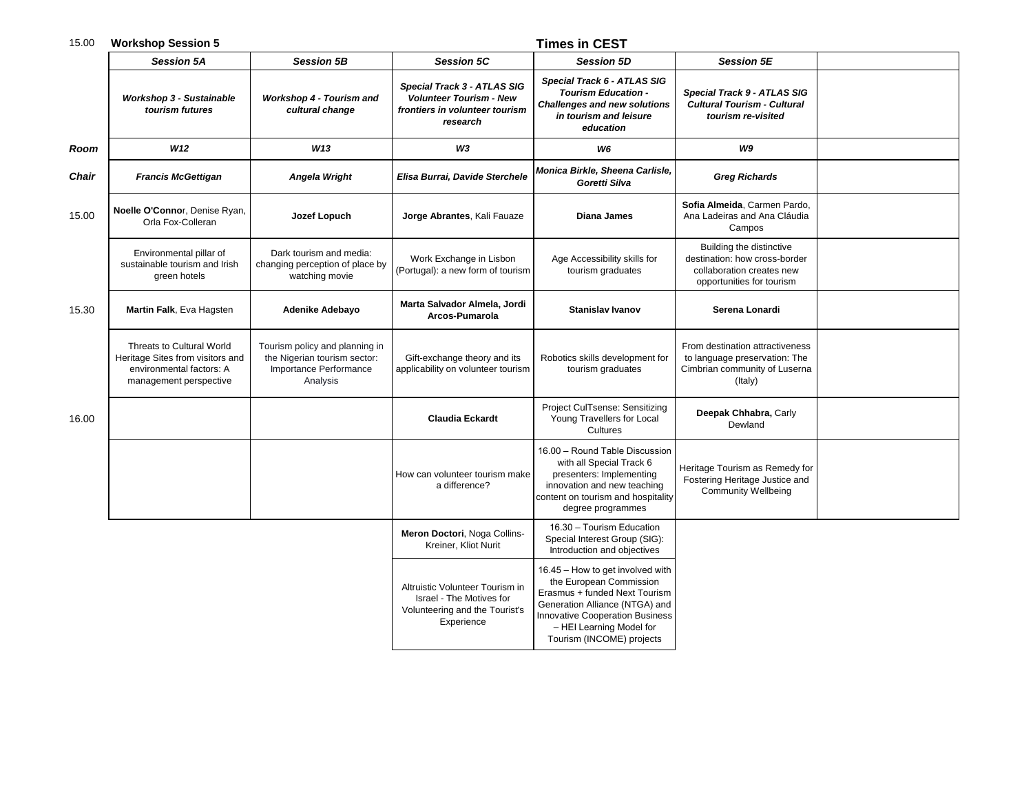### 15.00 **Workshop Session 5 Times in CEST**

|       | <b>Session 5A</b>                                                                                                   | <b>Session 5B</b>                                                                                    | <b>Session 5C</b>                                                                                           | <b>Session 5D</b>                                                                                                                                                                                                                 | <b>Session 5E</b>                                                                                                   |  |
|-------|---------------------------------------------------------------------------------------------------------------------|------------------------------------------------------------------------------------------------------|-------------------------------------------------------------------------------------------------------------|-----------------------------------------------------------------------------------------------------------------------------------------------------------------------------------------------------------------------------------|---------------------------------------------------------------------------------------------------------------------|--|
|       | Workshop 3 - Sustainable<br>tourism futures                                                                         | Workshop 4 - Tourism and<br>cultural change                                                          | Special Track 3 - ATLAS SIG<br><b>Volunteer Tourism - New</b><br>frontiers in volunteer tourism<br>research | Special Track 6 - ATLAS SIG<br><b>Tourism Education -</b><br><b>Challenges and new solutions</b><br>in tourism and leisure<br>education                                                                                           | Special Track 9 - ATLAS SIG<br><b>Cultural Tourism - Cultural</b><br>tourism re-visited                             |  |
| Room  | W12                                                                                                                 | W13                                                                                                  | W3                                                                                                          | W6                                                                                                                                                                                                                                | W9                                                                                                                  |  |
| Chair | <b>Francis McGettigan</b>                                                                                           | Angela Wright                                                                                        | Elisa Burrai, Davide Sterchele                                                                              | Monica Birkle, Sheena Carlisle,<br>Goretti Silva                                                                                                                                                                                  | <b>Greg Richards</b>                                                                                                |  |
| 15.00 | Noelle O'Connor, Denise Ryan,<br>Orla Fox-Colleran                                                                  | Jozef Lopuch                                                                                         | Jorge Abrantes, Kali Fauaze                                                                                 | Diana James                                                                                                                                                                                                                       | Sofia Almeida, Carmen Pardo,<br>Ana Ladeiras and Ana Cláudia<br>Campos                                              |  |
|       | Environmental pillar of<br>sustainable tourism and Irish<br>green hotels                                            | Dark tourism and media:<br>changing perception of place by<br>watching movie                         | Work Exchange in Lisbon<br>(Portugal): a new form of tourism                                                | Age Accessibility skills for<br>tourism graduates                                                                                                                                                                                 | Building the distinctive<br>destination: how cross-border<br>collaboration creates new<br>opportunities for tourism |  |
| 15.30 | Martin Falk, Eva Hagsten                                                                                            | <b>Adenike Adebayo</b>                                                                               | Marta Salvador Almela, Jordi<br>Arcos-Pumarola                                                              | <b>Stanislav Ivanov</b>                                                                                                                                                                                                           | Serena Lonardi                                                                                                      |  |
|       | Threats to Cultural World<br>Heritage Sites from visitors and<br>environmental factors: A<br>management perspective | Tourism policy and planning in<br>the Nigerian tourism sector:<br>Importance Performance<br>Analysis | Gift-exchange theory and its<br>applicability on volunteer tourism                                          | Robotics skills development for<br>tourism graduates                                                                                                                                                                              | From destination attractiveness<br>to language preservation: The<br>Cimbrian community of Luserna<br>(Italy)        |  |
| 16.00 |                                                                                                                     |                                                                                                      | <b>Claudia Eckardt</b>                                                                                      | Project CulTsense: Sensitizing<br>Young Travellers for Local<br>Cultures                                                                                                                                                          | Deepak Chhabra, Carly<br>Dewland                                                                                    |  |
|       |                                                                                                                     |                                                                                                      | How can volunteer tourism make<br>a difference?                                                             | 16.00 - Round Table Discussion<br>with all Special Track 6<br>presenters: Implementing<br>innovation and new teaching<br>content on tourism and hospitality<br>degree programmes                                                  | Heritage Tourism as Remedy for<br>Fostering Heritage Justice and<br><b>Community Wellbeing</b>                      |  |
|       |                                                                                                                     |                                                                                                      | Meron Doctori, Noga Collins-<br>Kreiner, Kliot Nurit                                                        | 16.30 - Tourism Education<br>Special Interest Group (SIG):<br>Introduction and objectives                                                                                                                                         |                                                                                                                     |  |
|       |                                                                                                                     |                                                                                                      | Altruistic Volunteer Tourism in<br>Israel - The Motives for<br>Volunteering and the Tourist's<br>Experience | 16.45 - How to get involved with<br>the European Commission<br>Erasmus + funded Next Tourism<br>Generation Alliance (NTGA) and<br><b>Innovative Cooperation Business</b><br>- HEI Learning Model for<br>Tourism (INCOME) projects |                                                                                                                     |  |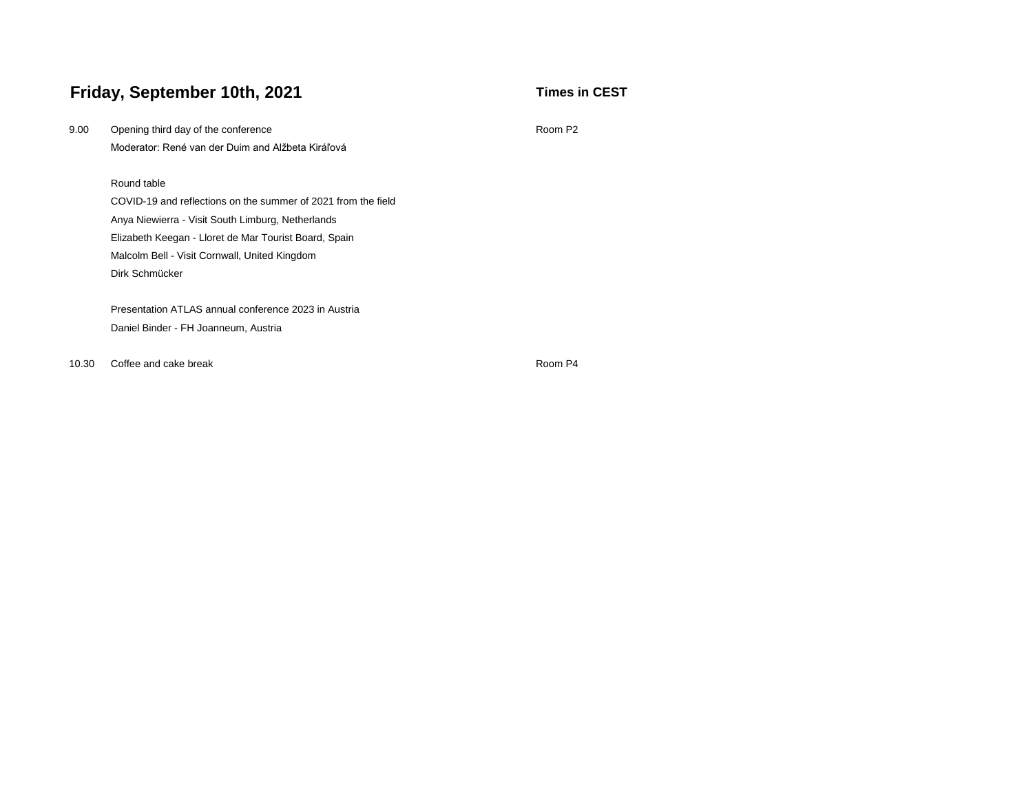# **Friday, September 10th, 2021 Times in CEST**

| 9.00  | Opening third day of the conference<br>Room P <sub>2</sub>    |         |  |  |  |  |  |
|-------|---------------------------------------------------------------|---------|--|--|--|--|--|
|       | Moderator: René van der Duim and Alžbeta Kiráľová             |         |  |  |  |  |  |
|       |                                                               |         |  |  |  |  |  |
|       | Round table                                                   |         |  |  |  |  |  |
|       | COVID-19 and reflections on the summer of 2021 from the field |         |  |  |  |  |  |
|       | Anya Niewierra - Visit South Limburg, Netherlands             |         |  |  |  |  |  |
|       | Elizabeth Keegan - Lloret de Mar Tourist Board, Spain         |         |  |  |  |  |  |
|       | Malcolm Bell - Visit Cornwall, United Kingdom                 |         |  |  |  |  |  |
|       | Dirk Schmücker                                                |         |  |  |  |  |  |
|       |                                                               |         |  |  |  |  |  |
|       | Presentation ATLAS annual conference 2023 in Austria          |         |  |  |  |  |  |
|       | Daniel Binder - FH Joanneum, Austria                          |         |  |  |  |  |  |
|       |                                                               |         |  |  |  |  |  |
| 10.30 | Coffee and cake break                                         | Room P4 |  |  |  |  |  |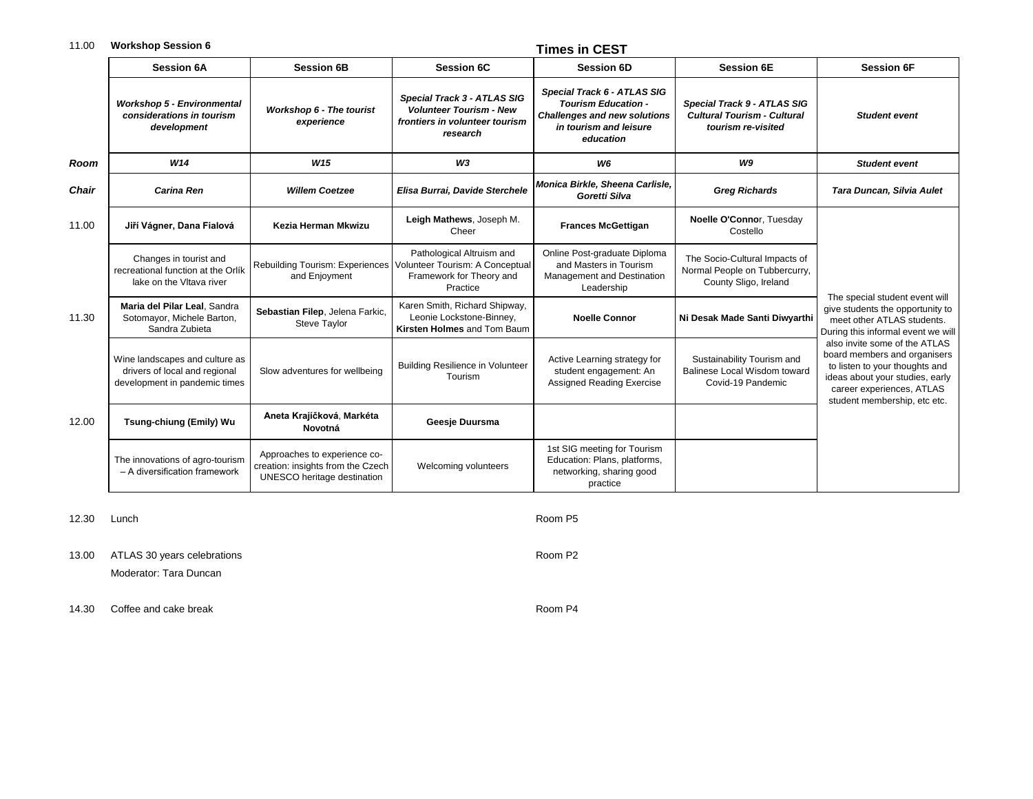### 11.00 **Workshop Session 6 Times in CEST**

|       |                                                                                                  |                                                                                                  |                                                                                                             | TIIIIGS III OEOT                                                                                                                        |                                                                                         |                                                                                                                                                                                                 |
|-------|--------------------------------------------------------------------------------------------------|--------------------------------------------------------------------------------------------------|-------------------------------------------------------------------------------------------------------------|-----------------------------------------------------------------------------------------------------------------------------------------|-----------------------------------------------------------------------------------------|-------------------------------------------------------------------------------------------------------------------------------------------------------------------------------------------------|
|       | <b>Session 6A</b>                                                                                | <b>Session 6B</b>                                                                                | <b>Session 6C</b>                                                                                           | <b>Session 6D</b>                                                                                                                       | <b>Session 6E</b>                                                                       | <b>Session 6F</b>                                                                                                                                                                               |
|       | <b>Workshop 5 - Environmental</b><br>considerations in tourism<br>development                    | Workshop 6 - The tourist<br>experience                                                           | Special Track 3 - ATLAS SIG<br><b>Volunteer Tourism - New</b><br>frontiers in volunteer tourism<br>research | Special Track 6 - ATLAS SIG<br><b>Tourism Education -</b><br><b>Challenges and new solutions</b><br>in tourism and leisure<br>education | Special Track 9 - ATLAS SIG<br><b>Cultural Tourism - Cultural</b><br>tourism re-visited | <b>Student event</b>                                                                                                                                                                            |
| Room  | W14                                                                                              | W <sub>15</sub>                                                                                  | W <sub>3</sub>                                                                                              | W <sub>6</sub>                                                                                                                          | W <sub>9</sub>                                                                          | <b>Student event</b>                                                                                                                                                                            |
| Chair | <b>Carina Ren</b>                                                                                | <b>Willem Coetzee</b>                                                                            | Elisa Burrai, Davide Sterchele                                                                              | Monica Birkle, Sheena Carlisle,<br>Goretti Silva                                                                                        | <b>Greg Richards</b>                                                                    | Tara Duncan, Silvia Aulet                                                                                                                                                                       |
| 11.00 | Jiří Vágner, Dana Fialová                                                                        | Kezia Herman Mkwizu                                                                              | Leigh Mathews, Joseph M.<br>Cheer                                                                           | <b>Frances McGettigan</b>                                                                                                               | Noelle O'Connor, Tuesday<br>Costello                                                    |                                                                                                                                                                                                 |
|       | Changes in tourist and<br>recreational function at the Orlík<br>lake on the Vitava river         | Rebuilding Tourism: Experiences<br>and Enjoyment                                                 | Pathological Altruism and<br>Volunteer Tourism: A Conceptual<br>Framework for Theory and<br>Practice        | Online Post-graduate Diploma<br>and Masters in Tourism<br>Management and Destination<br>Leadership                                      | The Socio-Cultural Impacts of<br>Normal People on Tubbercurry,<br>County Sligo, Ireland |                                                                                                                                                                                                 |
| 11.30 | Maria del Pilar Leal, Sandra<br>Sotomayor, Michele Barton,<br>Sandra Zubieta                     | Sebastian Filep, Jelena Farkic,<br>Steve Taylor                                                  | Karen Smith, Richard Shipway,<br>Leonie Lockstone-Binney,<br>Kirsten Holmes and Tom Baum                    | <b>Noelle Connor</b>                                                                                                                    | Ni Desak Made Santi Diwyarthi                                                           | The special student event will<br>give students the opportunity to<br>meet other ATLAS students.<br>During this informal event we will                                                          |
|       | Wine landscapes and culture as<br>drivers of local and regional<br>development in pandemic times | Slow adventures for wellbeing                                                                    | <b>Building Resilience in Volunteer</b><br>Tourism                                                          | Active Learning strategy for<br>student engagement: An<br><b>Assigned Reading Exercise</b>                                              | Sustainability Tourism and<br>Balinese Local Wisdom toward<br>Covid-19 Pandemic         | also invite some of the ATLAS<br>board members and organisers<br>to listen to your thoughts and<br>ideas about your studies, early<br>career experiences, ATLAS<br>student membership, etc etc. |
| 12.00 | Tsung-chiung (Emily) Wu                                                                          | Aneta Krajíčková, Markéta<br>Novotná                                                             | Geesje Duursma                                                                                              |                                                                                                                                         |                                                                                         |                                                                                                                                                                                                 |
|       | The innovations of agro-tourism<br>- A diversification framework                                 | Approaches to experience co-<br>creation: insights from the Czech<br>UNESCO heritage destination | Welcoming volunteers                                                                                        | 1st SIG meeting for Tourism<br>Education: Plans, platforms,<br>networking, sharing good<br>practice                                     |                                                                                         |                                                                                                                                                                                                 |

12.30 Lunch Room P5

13.00 ATLAS 30 years celebrations Room P2

Moderator: Tara Duncan

14.30 Coffee and cake break Room P4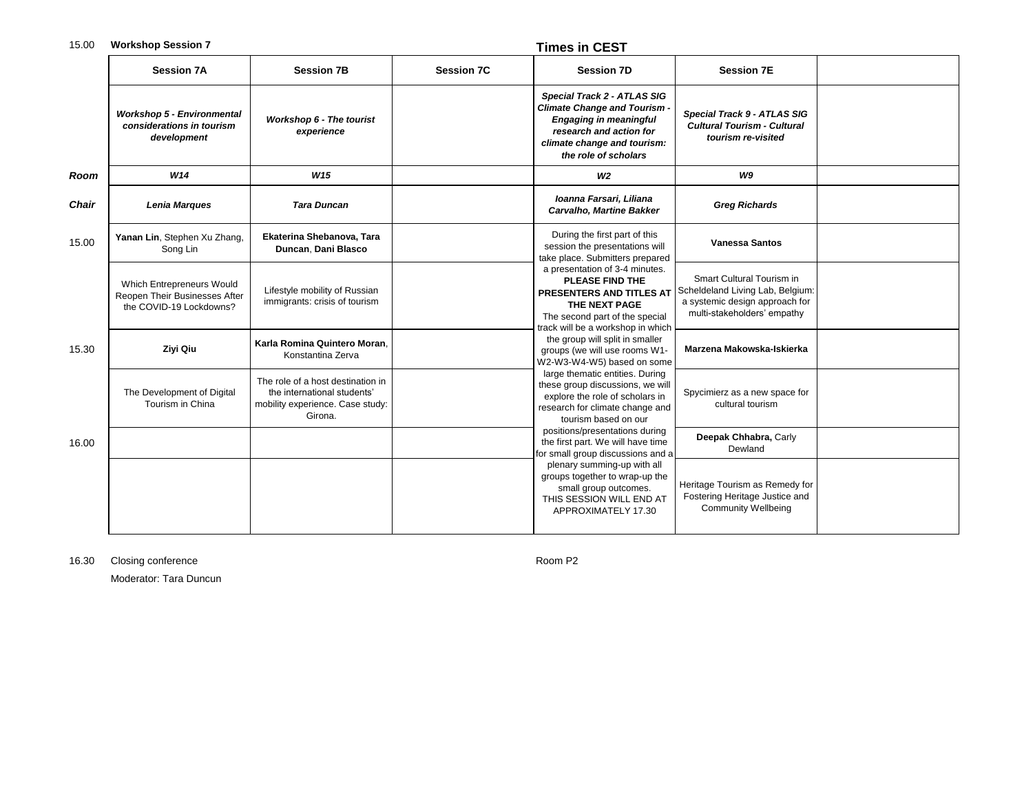### 15.00 **Workshop Session 7 Times in CEST**

|              | <b>Session 7A</b>                                                                     | <b>Session 7B</b>                                                                                               | <b>Session 7C</b> | <b>Session 7D</b>                                                                                                                                                                                                                                                              | <b>Session 7E</b>                                                                              |                                                                                                                                |  |
|--------------|---------------------------------------------------------------------------------------|-----------------------------------------------------------------------------------------------------------------|-------------------|--------------------------------------------------------------------------------------------------------------------------------------------------------------------------------------------------------------------------------------------------------------------------------|------------------------------------------------------------------------------------------------|--------------------------------------------------------------------------------------------------------------------------------|--|
|              | <b>Workshop 5 - Environmental</b><br>considerations in tourism<br>development         | Workshop 6 - The tourist<br>experience                                                                          |                   | Special Track 2 - ATLAS SIG<br><b>Climate Change and Tourism</b><br><b>Engaging in meaningful</b><br>research and action for<br>climate change and tourism:<br>the role of scholars                                                                                            | Special Track 9 - ATLAS SIG<br><b>Cultural Tourism - Cultural</b><br>tourism re-visited        |                                                                                                                                |  |
| Room         | W14                                                                                   | W <sub>15</sub>                                                                                                 |                   | W <sub>2</sub>                                                                                                                                                                                                                                                                 | W9                                                                                             |                                                                                                                                |  |
| <b>Chair</b> | Lenia Marques                                                                         | <b>Tara Duncan</b>                                                                                              |                   | Ioanna Farsari, Liliana<br>Carvalho, Martine Bakker                                                                                                                                                                                                                            | <b>Greg Richards</b>                                                                           |                                                                                                                                |  |
| 15.00        | Yanan Lin, Stephen Xu Zhang,<br>Song Lin                                              | Ekaterina Shebanova, Tara<br>Duncan, Dani Blasco                                                                |                   | During the first part of this<br>session the presentations will<br>take place. Submitters prepared                                                                                                                                                                             | <b>Vanessa Santos</b>                                                                          |                                                                                                                                |  |
|              | Which Entrepreneurs Would<br>Reopen Their Businesses After<br>the COVID-19 Lockdowns? | Lifestyle mobility of Russian<br>immigrants: crisis of tourism                                                  |                   | a presentation of 3-4 minutes.<br><b>PLEASE FIND THE</b><br>PRESENTERS AND TITLES AT<br>THE NEXT PAGE<br>The second part of the special<br>track will be a workshop in which<br>the group will split in smaller<br>groups (we will use rooms W1-<br>W2-W3-W4-W5) based on some |                                                                                                | Smart Cultural Tourism in<br>Scheldeland Living Lab, Belgium:<br>a systemic design approach for<br>multi-stakeholders' empathy |  |
| 15.30        | Ziyi Qiu                                                                              | Karla Romina Quintero Moran.<br>Konstantina Zerva                                                               |                   |                                                                                                                                                                                                                                                                                | Marzena Makowska-Iskierka                                                                      |                                                                                                                                |  |
|              | The Development of Digital<br>Tourism in China                                        | The role of a host destination in<br>the international students'<br>mobility experience. Case study:<br>Girona. |                   | large thematic entities. During<br>these group discussions, we will<br>explore the role of scholars in<br>research for climate change and<br>tourism based on our                                                                                                              | Spycimierz as a new space for<br>cultural tourism                                              |                                                                                                                                |  |
| 16.00        |                                                                                       |                                                                                                                 |                   | positions/presentations during<br>the first part. We will have time<br>for small group discussions and a                                                                                                                                                                       | Deepak Chhabra, Carly<br>Dewland                                                               |                                                                                                                                |  |
|              |                                                                                       |                                                                                                                 |                   | plenary summing-up with all<br>groups together to wrap-up the<br>small group outcomes.<br>THIS SESSION WILL END AT<br>APPROXIMATELY 17.30                                                                                                                                      | Heritage Tourism as Remedy for<br>Fostering Heritage Justice and<br><b>Community Wellbeing</b> |                                                                                                                                |  |

16.30 Closing conference **Room P2** 

Moderator: Tara Duncun